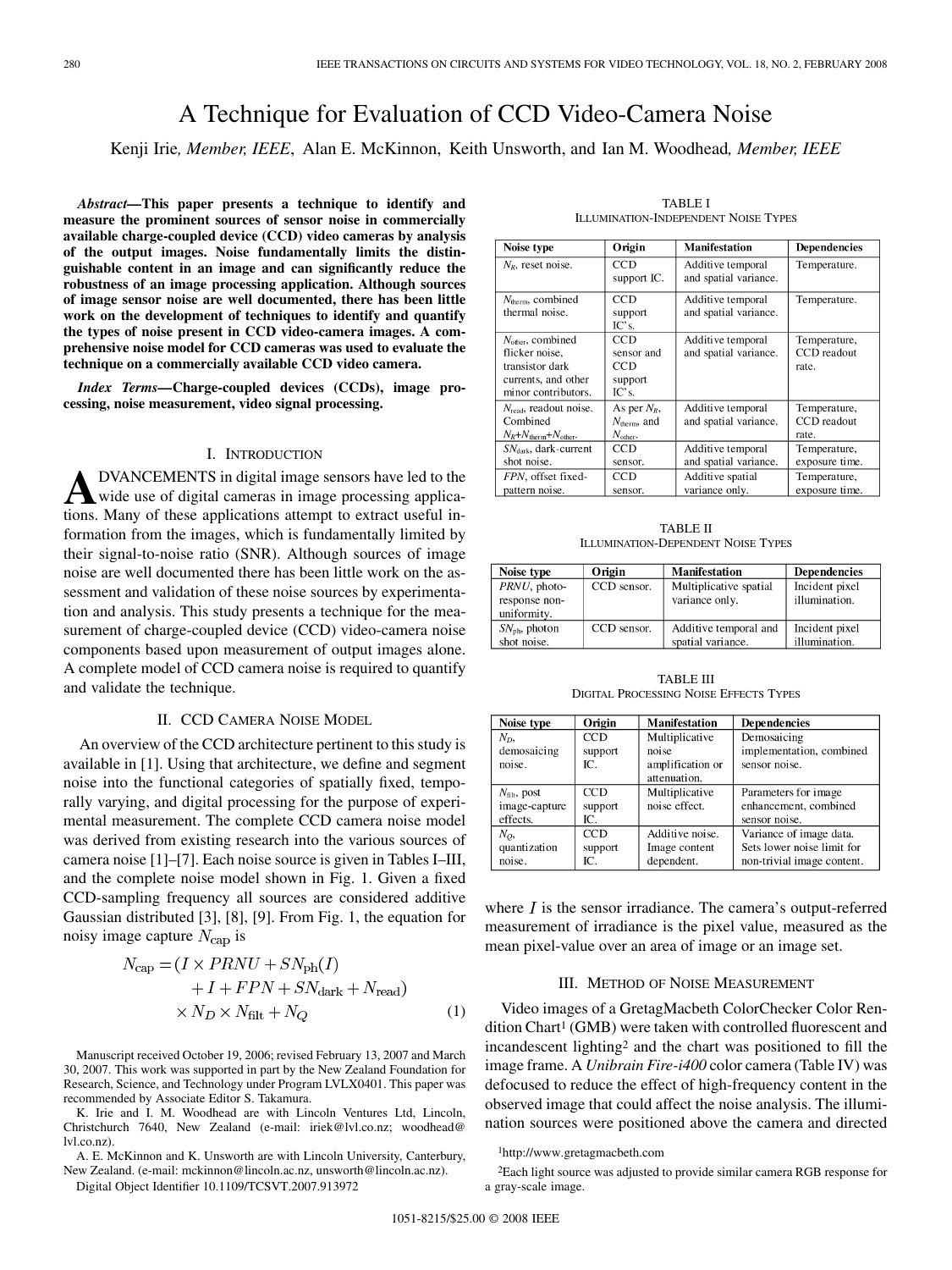# A Technique for Evaluation of CCD Video-Camera Noise

Kenji Irie*, Member, IEEE*, Alan E. McKinnon, Keith Unsworth, and Ian M. Woodhead*, Member, IEEE*

*Abstract—***This paper presents a technique to identify and measure the prominent sources of sensor noise in commercially available charge-coupled device (CCD) video cameras by analysis of the output images. Noise fundamentally limits the distinguishable content in an image and can significantly reduce the robustness of an image processing application. Although sources of image sensor noise are well documented, there has been little work on the development of techniques to identify and quantify the types of noise present in CCD video-camera images. A comprehensive noise model for CCD cameras was used to evaluate the technique on a commercially available CCD video camera.**

*Index Terms—***Charge-coupled devices (CCDs), image processing, noise measurement, video signal processing.**

# I. INTRODUCTION

**A** DVANCEMENTS in digital image sensors have led to the wide use of digital cameras in image processing applications. Many of these applications attempt to extract useful information from the images, which is fundamentally limited by their signal-to-noise ratio (SNR). Although sources of image noise are well documented there has been little work on the assessment and validation of these noise sources by experimentation and analysis. This study presents a technique for the measurement of charge-coupled device (CCD) video-camera noise components based upon measurement of output images alone. A complete model of CCD camera noise is required to quantify and validate the technique.

## II. CCD CAMERA NOISE MODEL

An overview of the CCD architecture pertinent to this study is available in [1]. Using that architecture, we define and segment noise into the functional categories of spatially fixed, temporally varying, and digital processing for the purpose of experimental measurement. The complete CCD camera noise model was derived from existing research into the various sources of camera noise [1]–[7]. Each noise source is given in Tables I–III, and the complete noise model shown in Fig. 1. Given a fixed CCD-sampling frequency all sources are considered additive Gaussian distributed [3], [8], [9]. From Fig. 1, the equation for noisy image capture  $N_{\text{cap}}$  is

$$
N_{\text{cap}} = (I \times PRNU + SN_{\text{ph}}(I)
$$
  
+  $I + FPN + SN_{\text{dark}} + N_{\text{read}}$   
 $\times N_D \times N_{\text{filt}} + N_Q$  (1)

Manuscript received October 19, 2006; revised February 13, 2007 and March 30, 2007. This work was supported in part by the New Zealand Foundation for Research, Science, and Technology under Program LVLX0401. This paper was recommended by Associate Editor S. Takamura.

K. Irie and I. M. Woodhead are with Lincoln Ventures Ltd, Lincoln, Christchurch 7640, New Zealand (e-mail: iriek@lvl.co.nz; woodhead@ lvl.co.nz).

A. E. McKinnon and K. Unsworth are with Lincoln University, Canterbury, New Zealand. (e-mail: mckinnon@lincoln.ac.nz, unsworth@lincoln.ac.nz).

Digital Object Identifier 10.1109/TCSVT.2007.913972

| Noise type                                                                                                | Origin                                                             | <b>Manifestation</b>                       | Dependencies                         |
|-----------------------------------------------------------------------------------------------------------|--------------------------------------------------------------------|--------------------------------------------|--------------------------------------|
| $N_R$ , reset noise.                                                                                      | CCD<br>support IC.                                                 | Additive temporal<br>and spatial variance. | Temperature.                         |
| $N_{\text{therm}}$ , combined<br>thermal noise.                                                           | CCD<br>support<br>IC's.                                            | Additive temporal<br>and spatial variance. | Temperature.                         |
| $N_{other}$ , combined<br>flicker noise.<br>transistor dark<br>currents, and other<br>minor contributors. | CCD<br>sensor and<br>CCD<br>support<br>IC's.                       | Additive temporal<br>and spatial variance. | Temperature,<br>CCD readout<br>rate. |
| $N_{\text{read}}$ , readout noise.<br>Combined<br>$N_R + N_{\text{therm}} + N_{\text{other}}$ .           | As per $N_R$ ,<br>$N_{\text{therm}}$ , and<br>$N_{\text{other}}$ . | Additive temporal<br>and spatial variance. | Temperature,<br>CCD readout<br>rate. |
| $SN_{dark}$ , dark-current<br>shot noise.                                                                 | CCD<br>sensor.                                                     | Additive temporal<br>and spatial variance. | Temperature,<br>exposure time.       |
| FPN, offset fixed-<br>pattern noise.                                                                      | CCD<br>sensor.                                                     | Additive spatial<br>variance only.         | Temperature,<br>exposure time.       |

TABLE I ILLUMINATION-INDEPENDENT NOISE TYPES

TABLE II ILLUMINATION-DEPENDENT NOISE TYPES

| Noise type                | Origin      | <b>Manifestation</b>   | <b>Dependencies</b> |
|---------------------------|-------------|------------------------|---------------------|
| PRNU, photo-              | CCD sensor. | Multiplicative spatial | Incident pixel      |
| response non-             |             | variance only.         | illumination.       |
| uniformity.               |             |                        |                     |
| $SN_{\text{ph}}$ , photon | CCD sensor. | Additive temporal and  | Incident pixel      |
| shot noise.               |             | spatial variance.      | illumination.       |

TABLE III DIGITAL PROCESSING NOISE EFFECTS TYPES

| Noise type               | Origin  | <b>Manifestation</b> | <b>Dependencies</b>        |
|--------------------------|---------|----------------------|----------------------------|
| $N_D$                    | CCD     | Multiplicative       | Demosaicing                |
| demosaicing              | support | noise                | implementation, combined   |
| noise.                   | IC.     | amplification or     | sensor noise.              |
|                          |         | attenuation.         |                            |
| $N_{\text{filt}}$ , post | CCD     | Multiplicative       | Parameters for image       |
| image-capture            | support | noise effect.        | enhancement, combined      |
| effects.                 | IC.     |                      | sensor noise.              |
| $N_O$                    | CCD     | Additive noise.      | Variance of image data.    |
| quantization             | support | Image content        | Sets lower noise limit for |
| noise.                   | IC.     | dependent.           | non-trivial image content. |

where  $I$  is the sensor irradiance. The camera's output-referred measurement of irradiance is the pixel value, measured as the mean pixel-value over an area of image or an image set.

#### III. METHOD OF NOISE MEASUREMENT

Video images of a GretagMacbeth ColorChecker Color Rendition Chart<sup>1</sup> (GMB) were taken with controlled fluorescent and incandescent lighting2 and the chart was positioned to fill the image frame. A *Unibrain Fire-i400* color camera (Table IV) was defocused to reduce the effect of high-frequency content in the observed image that could affect the noise analysis. The illumination sources were positioned above the camera and directed

1http://www.gretagmacbeth.com

2Each light source was adjusted to provide similar camera RGB response for a gray-scale image.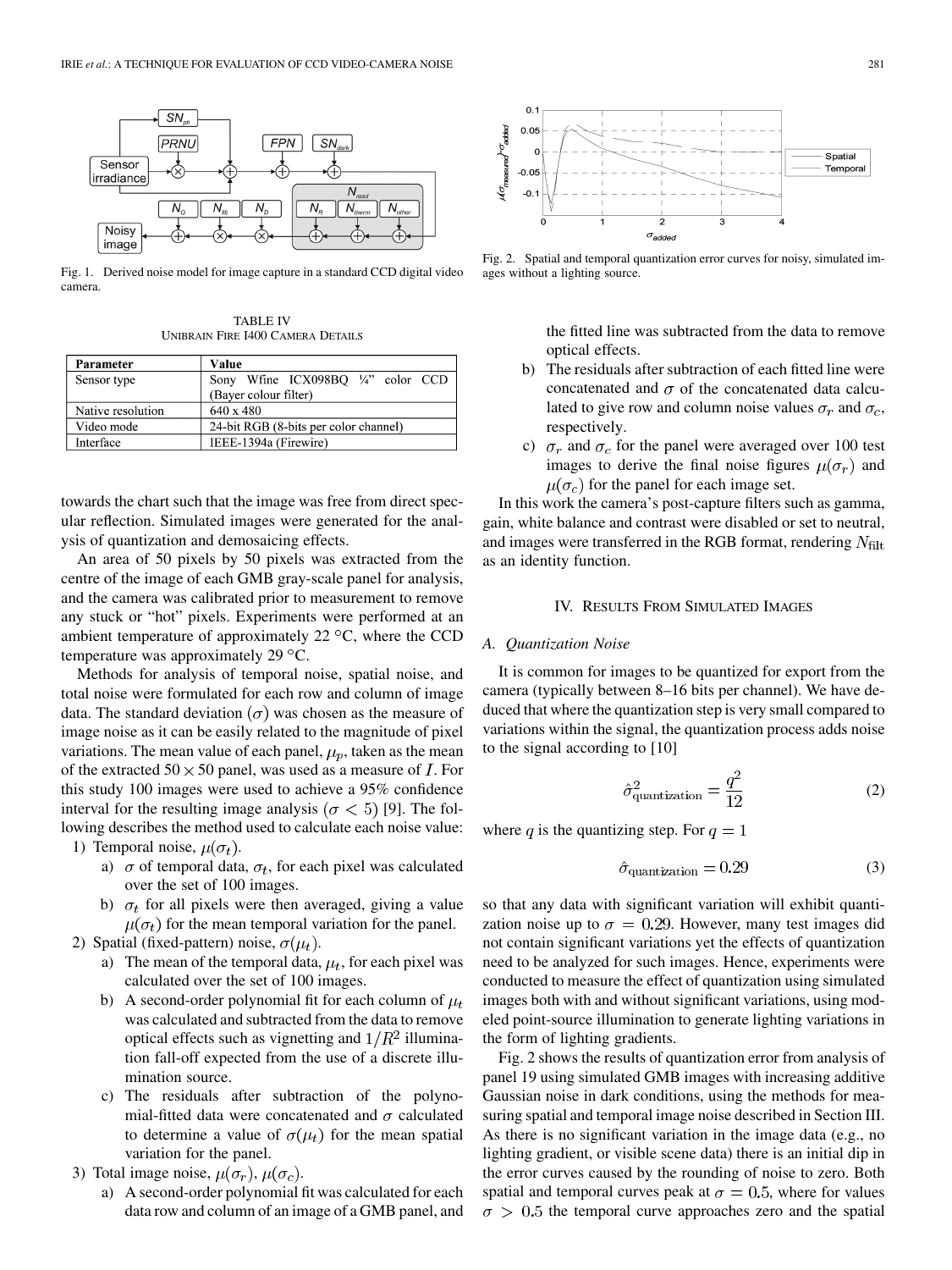

Fig. 1. Derived noise model for image capture in a standard CCD digital video camera.

TABLE IV UNIBRAIN FIRE I400 CAMERA DETAILS

| Parameter         | Value                                         |  |
|-------------------|-----------------------------------------------|--|
| Sensor type       | Sony Wfine ICX098BO $\frac{1}{4}$ " color CCD |  |
|                   | (Bayer colour filter)                         |  |
| Native resolution | 640 x 480                                     |  |
| Video mode        | 24-bit RGB (8-bits per color channel)         |  |
| Interface         | IEEE-1394a (Firewire)                         |  |

towards the chart such that the image was free from direct specular reflection. Simulated images were generated for the analysis of quantization and demosaicing effects.

An area of 50 pixels by 50 pixels was extracted from the centre of the image of each GMB gray-scale panel for analysis, and the camera was calibrated prior to measurement to remove any stuck or "hot" pixels. Experiments were performed at an ambient temperature of approximately  $22 °C$ , where the CCD temperature was approximately 29  $\mathrm{^{\circ}C}$ .

Methods for analysis of temporal noise, spatial noise, and total noise were formulated for each row and column of image data. The standard deviation  $(\sigma)$  was chosen as the measure of image noise as it can be easily related to the magnitude of pixel variations. The mean value of each panel,  $\mu_p$ , taken as the mean of the extracted  $50 \times 50$  panel, was used as a measure of I. For this study 100 images were used to achieve a 95% confidence interval for the resulting image analysis ( $\sigma$  < 5) [9]. The following describes the method used to calculate each noise value: 1) Temporal noise,  $\mu(\sigma_t)$ .

- a)  $\sigma$  of temporal data,  $\sigma_t$ , for each pixel was calculated over the set of 100 images.
- b)  $\sigma_t$  for all pixels were then averaged, giving a value  $\mu(\sigma_t)$  for the mean temporal variation for the panel.
- 2) Spatial (fixed-pattern) noise,  $\sigma(\mu_t)$ .
	- a) The mean of the temporal data,  $\mu_t$ , for each pixel was calculated over the set of 100 images.
	- b) A second-order polynomial fit for each column of  $\mu_t$ was calculated and subtracted from the data to remove optical effects such as vignetting and  $1/R^2$  illumination fall-off expected from the use of a discrete illumination source.
	- c) The residuals after subtraction of the polynomial-fitted data were concatenated and  $\sigma$  calculated to determine a value of  $\sigma(\mu_t)$  for the mean spatial variation for the panel.
- 3) Total image noise,  $\mu(\sigma_r)$ ,  $\mu(\sigma_c)$ .
	- a) A second-order polynomial fit was calculated for each data row and column of an image of a GMB panel, and



Fig. 2. Spatial and temporal quantization error curves for noisy, simulated images without a lighting source.

the fitted line was subtracted from the data to remove optical effects.

- b) The residuals after subtraction of each fitted line were concatenated and  $\sigma$  of the concatenated data calculated to give row and column noise values  $\sigma_r$  and  $\sigma_c$ , respectively.
- c)  $\sigma_r$  and  $\sigma_c$  for the panel were averaged over 100 test images to derive the final noise figures  $\mu(\sigma_r)$  and  $\mu(\sigma_c)$  for the panel for each image set.

In this work the camera's post-capture filters such as gamma, gain, white balance and contrast were disabled or set to neutral, and images were transferred in the RGB format, rendering  $N_{\text{filt}}$ as an identity function.

## IV. RESULTS FROM SIMULATED IMAGES

## *A. Quantization Noise*

It is common for images to be quantized for export from the camera (typically between 8–16 bits per channel). We have deduced that where the quantization step is very small compared to variations within the signal, the quantization process adds noise to the signal according to [10]

$$
\hat{\sigma}_{\text{quantization}}^2 = \frac{q^2}{12} \tag{2}
$$

where q is the quantizing step. For  $q = 1$ 

$$
\hat{\sigma}_{\text{quantization}} = 0.29\tag{3}
$$

so that any data with significant variation will exhibit quantization noise up to  $\sigma = 0.29$ . However, many test images did not contain significant variations yet the effects of quantization need to be analyzed for such images. Hence, experiments were conducted to measure the effect of quantization using simulated images both with and without significant variations, using modeled point-source illumination to generate lighting variations in the form of lighting gradients.

Fig. 2 shows the results of quantization error from analysis of panel 19 using simulated GMB images with increasing additive Gaussian noise in dark conditions, using the methods for measuring spatial and temporal image noise described in Section III. As there is no significant variation in the image data (e.g., no lighting gradient, or visible scene data) there is an initial dip in the error curves caused by the rounding of noise to zero. Both spatial and temporal curves peak at  $\sigma = 0.5$ , where for values  $\sigma > 0.5$  the temporal curve approaches zero and the spatial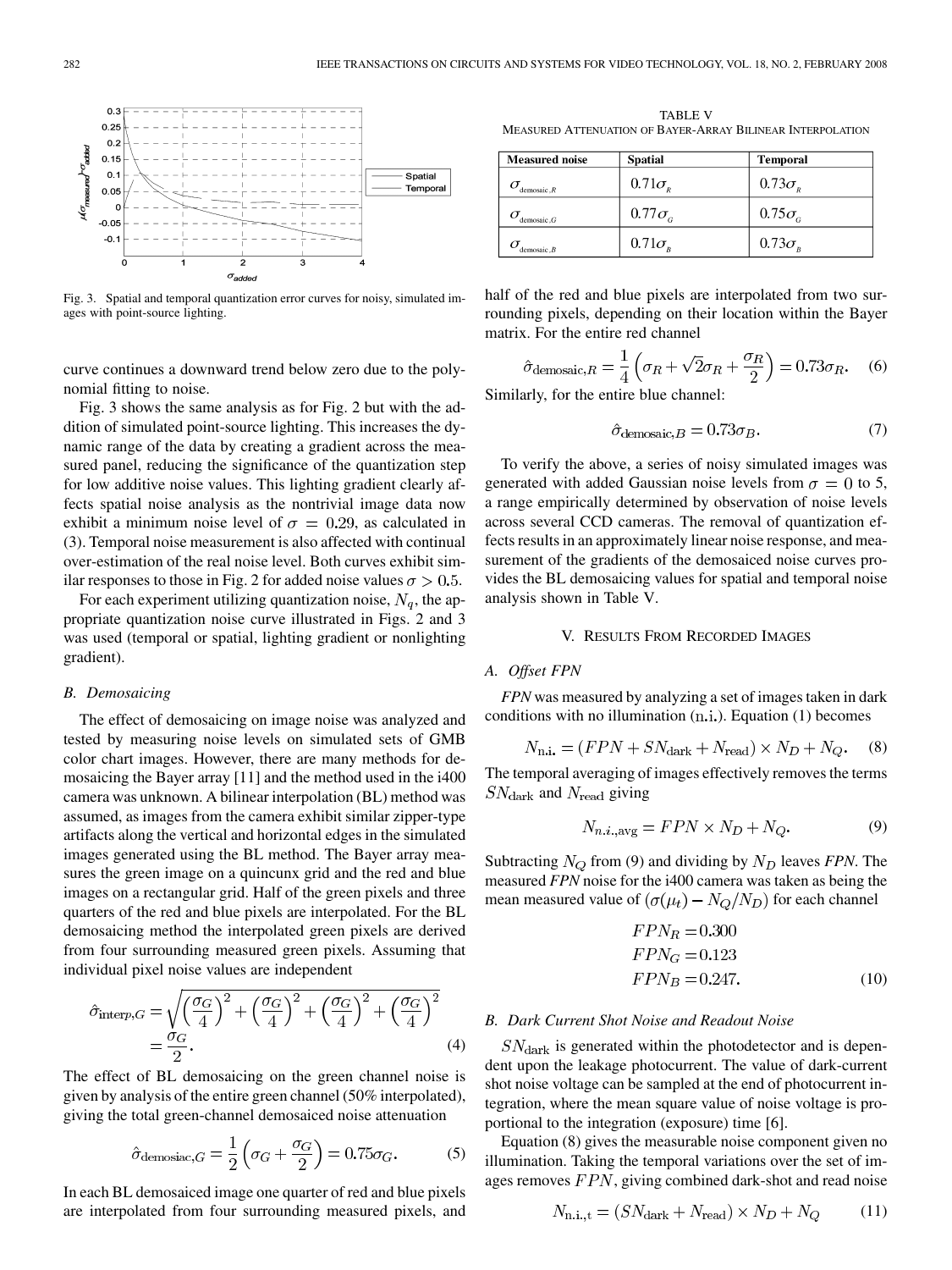

Fig. 3. Spatial and temporal quantization error curves for noisy, simulated images with point-source lighting.

curve continues a downward trend below zero due to the polynomial fitting to noise.

Fig. 3 shows the same analysis as for Fig. 2 but with the addition of simulated point-source lighting. This increases the dynamic range of the data by creating a gradient across the measured panel, reducing the significance of the quantization step for low additive noise values. This lighting gradient clearly affects spatial noise analysis as the nontrivial image data now exhibit a minimum noise level of  $\sigma = 0.29$ , as calculated in (3). Temporal noise measurement is also affected with continual over-estimation of the real noise level. Both curves exhibit similar responses to those in Fig. 2 for added noise values  $\sigma > 0.5$ .

For each experiment utilizing quantization noise,  $N_a$ , the appropriate quantization noise curve illustrated in Figs. 2 and 3 was used (temporal or spatial, lighting gradient or nonlighting gradient).

#### *B. Demosaicing*

The effect of demosaicing on image noise was analyzed and tested by measuring noise levels on simulated sets of GMB color chart images. However, there are many methods for demosaicing the Bayer array [11] and the method used in the i400 camera was unknown. A bilinear interpolation (BL) method was assumed, as images from the camera exhibit similar zipper-type artifacts along the vertical and horizontal edges in the simulated images generated using the BL method. The Bayer array measures the green image on a quincunx grid and the red and blue images on a rectangular grid. Half of the green pixels and three quarters of the red and blue pixels are interpolated. For the BL demosaicing method the interpolated green pixels are derived from four surrounding measured green pixels. Assuming that individual pixel noise values are independent

$$
\hat{\sigma}_{\text{interp},G} = \sqrt{\left(\frac{\sigma_G}{4}\right)^2 + \left(\frac{\sigma_G}{4}\right)^2 + \left(\frac{\sigma_G}{4}\right)^2 + \left(\frac{\sigma_G}{4}\right)^2}
$$
\n
$$
= \frac{\sigma_G}{2}.
$$
\n(4)

The effect of BL demosaicing on the green channel noise is given by analysis of the entire green channel (50% interpolated), giving the total green-channel demosaiced noise attenuation

$$
\hat{\sigma}_{\text{demosiac},G} = \frac{1}{2} \left( \sigma_G + \frac{\sigma_G}{2} \right) = 0.75 \sigma_G. \tag{5}
$$

In each BL demosaiced image one quarter of red and blue pixels are interpolated from four surrounding measured pixels, and

TABLE V MEASURED ATTENUATION OF BAYER-ARRAY BILINEAR INTERPOLATION

| <b>Measured</b> noise       | <b>Spatial</b>                      | <b>Temporal</b>                     |
|-----------------------------|-------------------------------------|-------------------------------------|
| $d$ emosaic. $\overline{R}$ | $0.71\sigma_{R}$                    | $0.73\sigma_{R}$                    |
| demosaic.G                  | $0.77\sigma_c$                      | $0.75\sigma_{c}$                    |
| $d$ emosaic. $B$            | $0.71\sigma_{\scriptscriptstyle R}$ | $0.73\sigma_{\scriptscriptstyle R}$ |

half of the red and blue pixels are interpolated from two surrounding pixels, depending on their location within the Bayer matrix. For the entire red channel

$$
\hat{\sigma}_{\text{demosaic},R} = \frac{1}{4} \left( \sigma_R + \sqrt{2} \sigma_R + \frac{\sigma_R}{2} \right) = 0.73 \sigma_R. \tag{6}
$$

Similarly, for the entire blue channel:

$$
\hat{\sigma}_{\text{demosaic},B} = 0.73\sigma_B. \tag{7}
$$

To verify the above, a series of noisy simulated images was generated with added Gaussian noise levels from  $\sigma = 0$  to 5, a range empirically determined by observation of noise levels across several CCD cameras. The removal of quantization effects results in an approximately linear noise response, and measurement of the gradients of the demosaiced noise curves provides the BL demosaicing values for spatial and temporal noise analysis shown in Table V.

#### V. RESULTS FROM RECORDED IMAGES

## *A. Offset FPN*

*FPN* was measured by analyzing a set of images taken in dark conditions with no illumination  $(n.i.)$ . Equation  $(1)$  becomes

$$
N_{\text{n.i.}} = (FPN + SN_{\text{dark}} + N_{\text{read}}) \times N_D + N_Q. \tag{8}
$$

The temporal averaging of images effectively removes the terms  $SN_{\text{dark}}$  and  $N_{\text{read}}$  giving

$$
N_{n.i.,\text{avg}} = FPN \times N_D + N_Q. \tag{9}
$$

Subtracting  $N_Q$  from (9) and dividing by  $N_D$  leaves *FPN*. The measured *FPN* noise for the i400 camera was taken as being the mean measured value of  $(\sigma(\mu_t) - N_Q/N_D)$  for each channel

$$
FPNR = 0.300
$$
  
\n
$$
FPNG = 0.123
$$
  
\n
$$
FPNB = 0.247.
$$
 (10)

#### *B. Dark Current Shot Noise and Readout Noise*

 $SN<sub>dark</sub>$  is generated within the photodetector and is dependent upon the leakage photocurrent. The value of dark-current shot noise voltage can be sampled at the end of photocurrent integration, where the mean square value of noise voltage is proportional to the integration (exposure) time [6].

Equation (8) gives the measurable noise component given no illumination. Taking the temporal variations over the set of images removes  $FPN$ , giving combined dark-shot and read noise

$$
N_{\text{n.i.,t}} = (SN_{\text{dark}} + N_{\text{read}}) \times N_D + N_Q \tag{11}
$$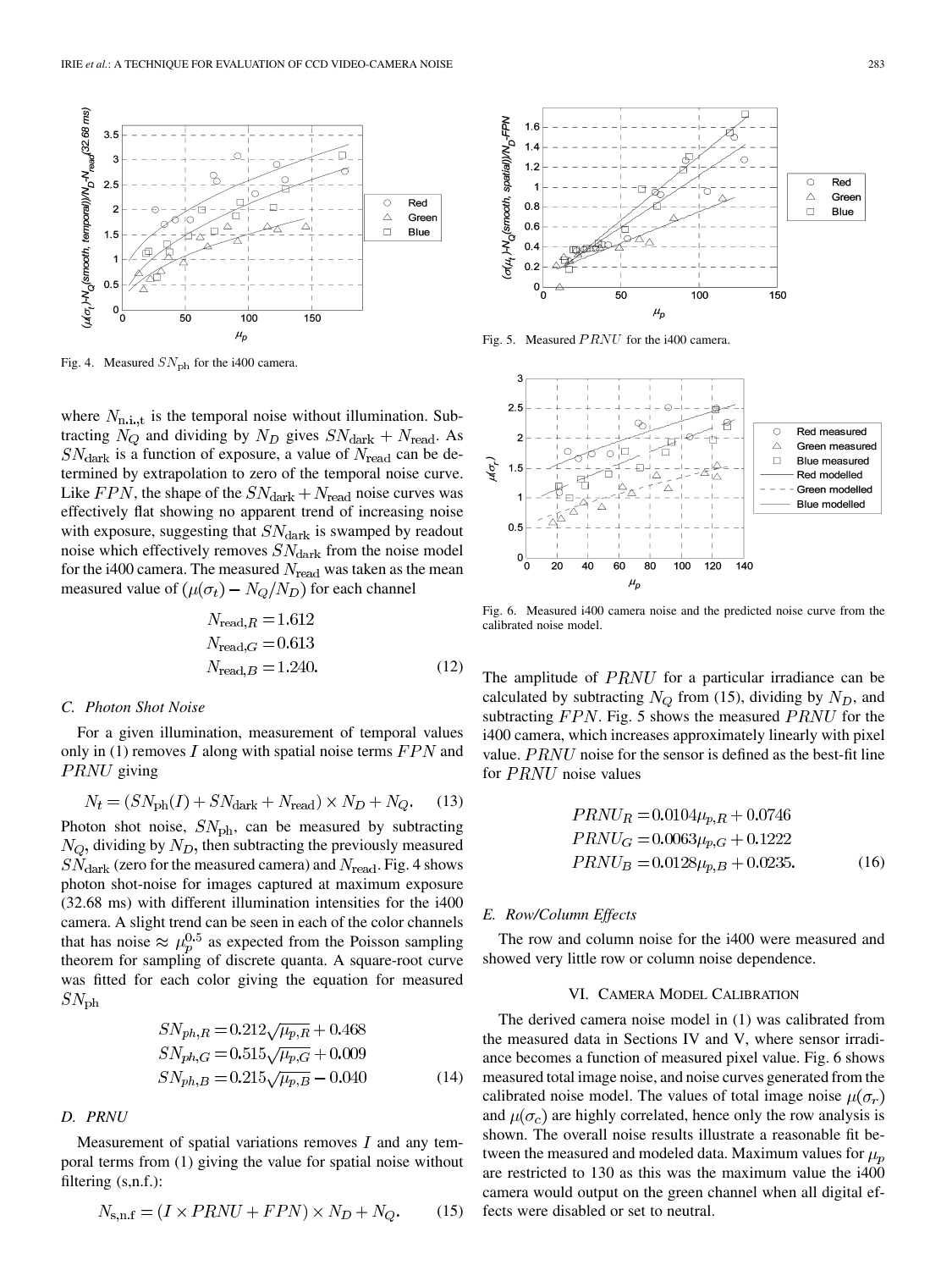

Fig. 4. Measured  $SN_{\text{ph}}$  for the i400 camera.

where  $N_{\text{n.i.,t}}$  is the temporal noise without illumination. Subtracting  $N_Q$  and dividing by  $N_D$  gives  $SN_{\text{dark}} + N_{\text{read}}$ . As  $SN_{\text{dark}}$  is a function of exposure, a value of  $N_{\text{read}}$  can be determined by extrapolation to zero of the temporal noise curve. Like  $FPN$ , the shape of the  $SN_{\text{dark}} + N_{\text{read}}$  noise curves was effectively flat showing no apparent trend of increasing noise with exposure, suggesting that  $SN<sub>dark</sub>$  is swamped by readout noise which effectively removes  $SN<sub>dark</sub>$  from the noise model for the i400 camera. The measured  $N_{\text{read}}$  was taken as the mean measured value of  $(\mu(\sigma_t) - N_Q/N_D)$  for each channel

$$
N_{\text{read},R} = 1.612
$$
  
\n
$$
N_{\text{read},G} = 0.613
$$
  
\n
$$
N_{\text{read},B} = 1.240.
$$
 (12)

#### *C. Photon Shot Noise*

For a given illumination, measurement of temporal values only in (1) removes  $I$  along with spatial noise terms  $FPN$  and **PRNU** giving

$$
N_t = (SN_{\text{ph}}(I) + SN_{\text{dark}} + N_{\text{read}}) \times N_D + N_Q. \tag{13}
$$

Photon shot noise,  $SN_{\text{ph}}$ , can be measured by subtracting  $N_Q$ , dividing by  $N_D$ , then subtracting the previously measured  $SN_{\text{dark}}$  (zero for the measured camera) and  $N_{\text{read}}$ . Fig. 4 shows photon shot-noise for images captured at maximum exposure (32.68 ms) with different illumination intensities for the i400 camera. A slight trend can be seen in each of the color channels that has noise  $\approx \mu_p^{0.5}$  as expected from the Poisson sampling theorem for sampling of discrete quanta. A square-root curve was fitted for each color giving the equation for measured  $SN_{\rm ph}$ 

$$
SN_{ph,R} = 0.212\sqrt{\mu_{p,R}} + 0.468
$$
  
\n
$$
SN_{ph,G} = 0.515\sqrt{\mu_{p,G}} + 0.009
$$
  
\n
$$
SN_{ph,B} = 0.215\sqrt{\mu_{p,B}} - 0.040
$$
 (14)

#### *D. PRNU*

Measurement of spatial variations removes  $I$  and any temporal terms from (1) giving the value for spatial noise without filtering (s,n.f.):

$$
N_{\rm s,n,f} = (I \times PRNU + FPN) \times N_D + N_Q. \tag{15}
$$



Fig. 5. Measured  $PRNU$  for the i400 camera.



Fig. 6. Measured i400 camera noise and the predicted noise curve from the calibrated noise model.

The amplitude of  $PRNU$  for a particular irradiance can be calculated by subtracting  $N_Q$  from (15), dividing by  $N_D$ , and subtracting  $FPN$ . Fig. 5 shows the measured  $PRNU$  for the i400 camera, which increases approximately linearly with pixel value.  $PRNU$  noise for the sensor is defined as the best-fit line for  $PRNU$  noise values

$$
PRNU_R = 0.0104\mu_{p,R} + 0.0746
$$
  
\n
$$
PRNU_G = 0.0063\mu_{p,G} + 0.1222
$$
  
\n
$$
PRNU_B = 0.0128\mu_{p,B} + 0.0235.
$$
 (16)

## *E. Row/Column Effects*

The row and column noise for the i400 were measured and showed very little row or column noise dependence.

# VI. CAMERA MODEL CALIBRATION

The derived camera noise model in (1) was calibrated from the measured data in Sections IV and V, where sensor irradiance becomes a function of measured pixel value. Fig. 6 shows measured total image noise, and noise curves generated from the calibrated noise model. The values of total image noise  $\mu(\sigma_r)$ and  $\mu(\sigma_c)$  are highly correlated, hence only the row analysis is shown. The overall noise results illustrate a reasonable fit between the measured and modeled data. Maximum values for  $\mu_p$ are restricted to 130 as this was the maximum value the i400 camera would output on the green channel when all digital effects were disabled or set to neutral.